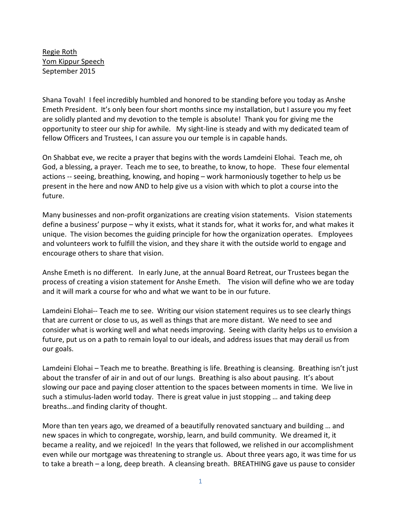Regie Roth Yom Kippur Speech September 2015

Shana Tovah! I feel incredibly humbled and honored to be standing before you today as Anshe Emeth President. It's only been four short months since my installation, but I assure you my feet are solidly planted and my devotion to the temple is absolute! Thank you for giving me the opportunity to steer our ship for awhile. My sight-line is steady and with my dedicated team of fellow Officers and Trustees, I can assure you our temple is in capable hands.

On Shabbat eve, we recite a prayer that begins with the words Lamdeini Elohai. Teach me, oh God, a blessing, a prayer. Teach me to see, to breathe, to know, to hope. These four elemental actions -- seeing, breathing, knowing, and hoping – work harmoniously together to help us be present in the here and now AND to help give us a vision with which to plot a course into the future.

Many businesses and non-profit organizations are creating vision statements. Vision statements define a business' purpose – why it exists, what it stands for, what it works for, and what makes it unique. The vision becomes the guiding principle for how the organization operates. Employees and volunteers work to fulfill the vision, and they share it with the outside world to engage and encourage others to share that vision.

Anshe Emeth is no different. In early June, at the annual Board Retreat, our Trustees began the process of creating a vision statement for Anshe Emeth. The vision will define who we are today and it will mark a course for who and what we want to be in our future.

Lamdeini Elohai-- Teach me to see. Writing our vision statement requires us to see clearly things that are current or close to us, as well as things that are more distant. We need to see and consider what is working well and what needs improving. Seeing with clarity helps us to envision a future, put us on a path to remain loyal to our ideals, and address issues that may derail us from our goals.

Lamdeini Elohai – Teach me to breathe. Breathing is life. Breathing is cleansing. Breathing isn't just about the transfer of air in and out of our lungs. Breathing is also about pausing. It's about slowing our pace and paying closer attention to the spaces between moments in time. We live in such a stimulus-laden world today. There is great value in just stopping … and taking deep breaths…and finding clarity of thought.

More than ten years ago, we dreamed of a beautifully renovated sanctuary and building … and new spaces in which to congregate, worship, learn, and build community. We dreamed it, it became a reality, and we rejoiced! In the years that followed, we relished in our accomplishment even while our mortgage was threatening to strangle us. About three years ago, it was time for us to take a breath – a long, deep breath. A cleansing breath. BREATHING gave us pause to consider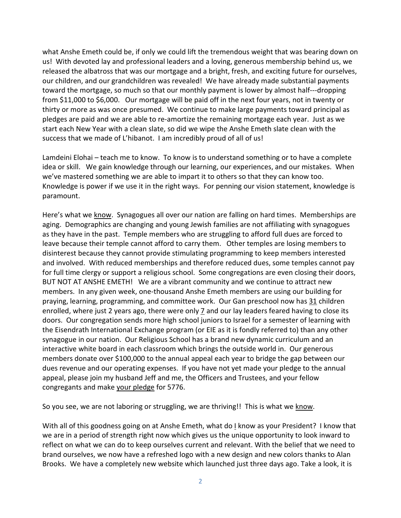what Anshe Emeth could be, if only we could lift the tremendous weight that was bearing down on us! With devoted lay and professional leaders and a loving, generous membership behind us, we released the albatross that was our mortgage and a bright, fresh, and exciting future for ourselves, our children, and our grandchildren was revealed! We have already made substantial payments toward the mortgage, so much so that our monthly payment is lower by almost half---dropping from \$11,000 to \$6,000. Our mortgage will be paid off in the next four years, not in twenty or thirty or more as was once presumed. We continue to make large payments toward principal as pledges are paid and we are able to re-amortize the remaining mortgage each year. Just as we start each New Year with a clean slate, so did we wipe the Anshe Emeth slate clean with the success that we made of L'hibanot. I am incredibly proud of all of us!

Lamdeini Elohai – teach me to know. To know is to understand something or to have a complete idea or skill. We gain knowledge through our learning, our experiences, and our mistakes. When we've mastered something we are able to impart it to others so that they can know too. Knowledge is power if we use it in the right ways. For penning our vision statement, knowledge is paramount.

Here's what we know. Synagogues all over our nation are falling on hard times. Memberships are aging. Demographics are changing and young Jewish families are not affiliating with synagogues as they have in the past. Temple members who are struggling to afford full dues are forced to leave because their temple cannot afford to carry them. Other temples are losing members to disinterest because they cannot provide stimulating programming to keep members interested and involved. With reduced memberships and therefore reduced dues, some temples cannot pay for full time clergy or support a religious school. Some congregations are even closing their doors, BUT NOT AT ANSHE EMETH! We are a vibrant community and we continue to attract new members. In any given week, one-thousand Anshe Emeth members are using our building for praying, learning, programming, and committee work. Our Gan preschool now has 31 children enrolled, where just 2 years ago, there were only 7 and our lay leaders feared having to close its doors. Our congregation sends more high school juniors to Israel for a semester of learning with the Eisendrath International Exchange program (or EIE as it is fondly referred to) than any other synagogue in our nation. Our Religious School has a brand new dynamic curriculum and an interactive white board in each classroom which brings the outside world in. Our generous members donate over \$100,000 to the annual appeal each year to bridge the gap between our dues revenue and our operating expenses. If you have not yet made your pledge to the annual appeal, please join my husband Jeff and me, the Officers and Trustees, and your fellow congregants and make your pledge for 5776.

So you see, we are not laboring or struggling, we are thriving!! This is what we know.

With all of this goodness going on at Anshe Emeth, what do I know as your President? I know that we are in a period of strength right now which gives us the unique opportunity to look inward to reflect on what we can do to keep ourselves current and relevant. With the belief that we need to brand ourselves, we now have a refreshed logo with a new design and new colors thanks to Alan Brooks. We have a completely new website which launched just three days ago. Take a look, it is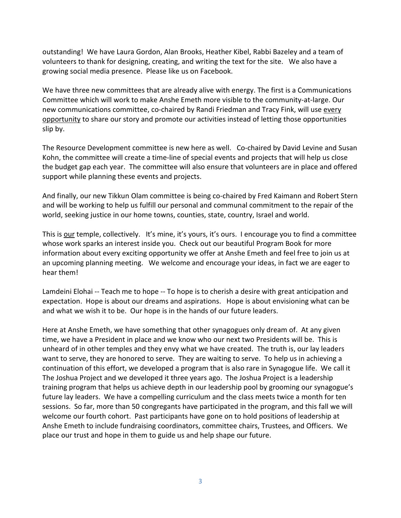outstanding! We have Laura Gordon, Alan Brooks, Heather Kibel, Rabbi Bazeley and a team of volunteers to thank for designing, creating, and writing the text for the site. We also have a growing social media presence. Please like us on Facebook.

We have three new committees that are already alive with energy. The first is a Communications Committee which will work to make Anshe Emeth more visible to the community-at-large. Our new communications committee, co-chaired by Randi Friedman and Tracy Fink, will use every opportunity to share our story and promote our activities instead of letting those opportunities slip by.

The Resource Development committee is new here as well. Co-chaired by David Levine and Susan Kohn, the committee will create a time-line of special events and projects that will help us close the budget gap each year. The committee will also ensure that volunteers are in place and offered support while planning these events and projects.

And finally, our new Tikkun Olam committee is being co-chaired by Fred Kaimann and Robert Stern and will be working to help us fulfill our personal and communal commitment to the repair of the world, seeking justice in our home towns, counties, state, country, Israel and world.

This is our temple, collectively. It's mine, it's yours, it's ours. I encourage you to find a committee whose work sparks an interest inside you. Check out our beautiful Program Book for more information about every exciting opportunity we offer at Anshe Emeth and feel free to join us at an upcoming planning meeting. We welcome and encourage your ideas, in fact we are eager to hear them!

Lamdeini Elohai -- Teach me to hope -- To hope is to cherish a desire with great anticipation and expectation. Hope is about our dreams and aspirations. Hope is about envisioning what can be and what we wish it to be. Our hope is in the hands of our future leaders.

Here at Anshe Emeth, we have something that other synagogues only dream of. At any given time, we have a President in place and we know who our next two Presidents will be. This is unheard of in other temples and they envy what we have created. The truth is, our lay leaders want to serve, they are honored to serve. They are waiting to serve. To help us in achieving a continuation of this effort, we developed a program that is also rare in Synagogue life. We call it The Joshua Project and we developed it three years ago. The Joshua Project is a leadership training program that helps us achieve depth in our leadership pool by grooming our synagogue's future lay leaders. We have a compelling curriculum and the class meets twice a month for ten sessions. So far, more than 50 congregants have participated in the program, and this fall we will welcome our fourth cohort. Past participants have gone on to hold positions of leadership at Anshe Emeth to include fundraising coordinators, committee chairs, Trustees, and Officers. We place our trust and hope in them to guide us and help shape our future.